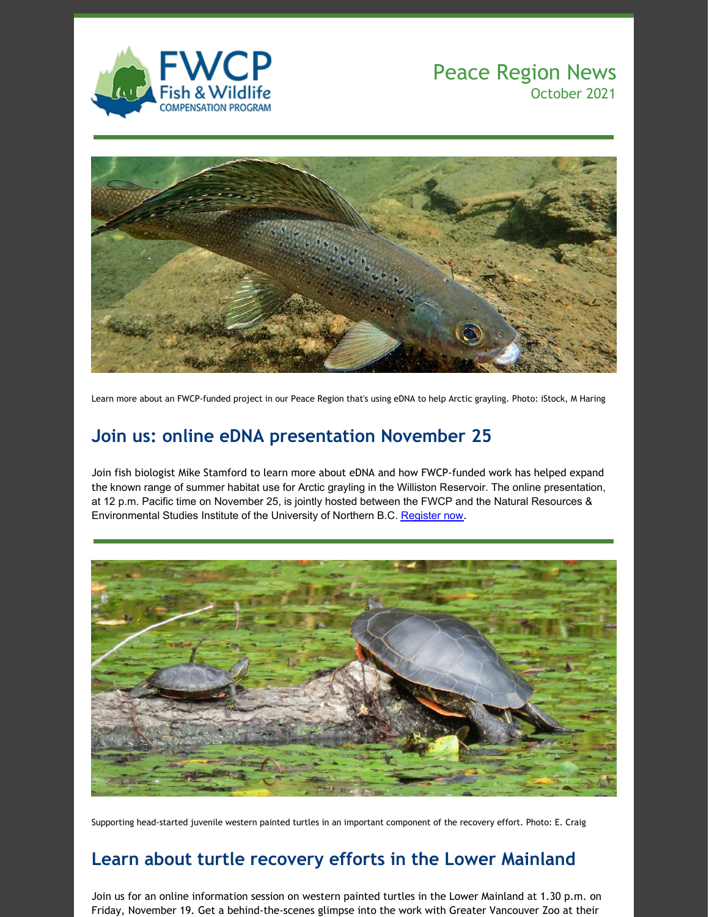

## Peace Region News October 2021



Learn more about an FWCP-funded project in our Peace Region that's using eDNA to help Arctic grayling. Photo: iStock, M Haring

# **Join us: online eDNA presentation November 25**

Join fish biologist Mike Stamford to learn more about eDNA and how FWCP-funded work has helped expand the known range of summer habitat use for Arctic grayling in the Williston Reservoir. The online presentation, at 12 p.m. Pacific time on November 25, is jointly hosted between the FWCP and the Natural Resources & Environmental Studies Institute of the University of Northern B.C. [Register](https://fwcp.ca/events/) now.



Supporting head-started juvenile western painted turtles in an important component of the recovery effort. Photo: E. Craig

### **Learn about turtle recovery efforts in the Lower Mainland**

Join us for an online information session on western painted turtles in the Lower Mainland at 1.30 p.m. on Friday, November 19. Get a behind-the-scenes glimpse into the work with Greater Vancouver Zoo at their